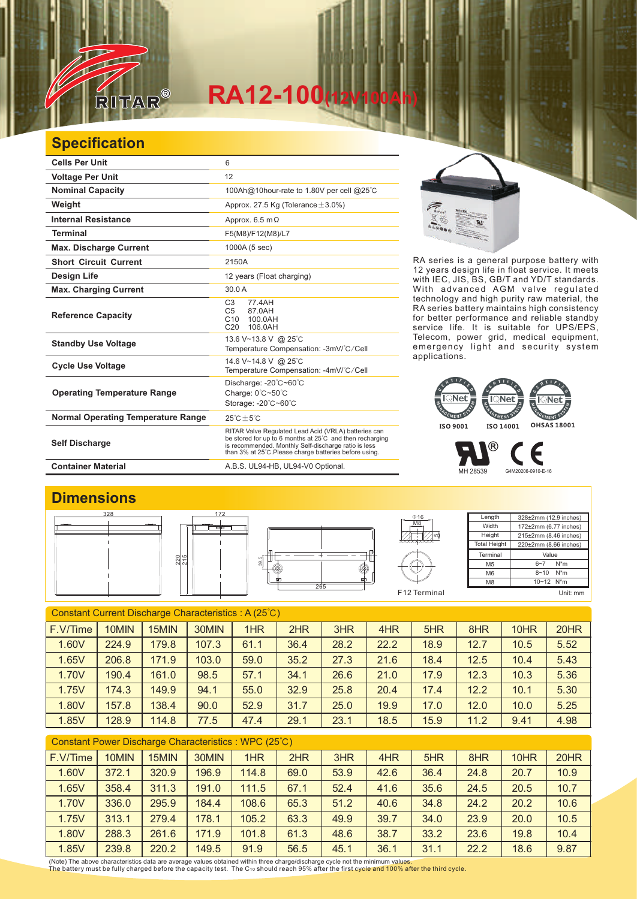

## $RA12-100$ (12

## **Specification**

| <b>Cells Per Unit</b>                     | 6                                                                                                                                                                                                                                  |
|-------------------------------------------|------------------------------------------------------------------------------------------------------------------------------------------------------------------------------------------------------------------------------------|
| <b>Voltage Per Unit</b>                   | 12                                                                                                                                                                                                                                 |
| <b>Nominal Capacity</b>                   | 100Ah@10hour-rate to 1.80V per cell @25°C                                                                                                                                                                                          |
| Weight                                    | Approx. 27.5 Kg (Tolerance $\pm$ 3.0%)                                                                                                                                                                                             |
| <b>Internal Resistance</b>                | Approx. $6.5 \text{ m}\Omega$                                                                                                                                                                                                      |
| <b>Terminal</b>                           | F5(M8)/F12(M8)/L7                                                                                                                                                                                                                  |
| <b>Max. Discharge Current</b>             | 1000A (5 sec)                                                                                                                                                                                                                      |
| <b>Short Circuit Current</b>              | 2150A                                                                                                                                                                                                                              |
| Design Life                               | 12 years (Float charging)                                                                                                                                                                                                          |
| <b>Max. Charging Current</b>              | 30.0A                                                                                                                                                                                                                              |
| <b>Reference Capacity</b>                 | C <sub>3</sub><br>77 4 A H<br>C <sub>5</sub><br>87.0AH<br>C10<br>100.0AH<br>106.0AH<br>C <sub>20</sub>                                                                                                                             |
| <b>Standby Use Voltage</b>                | 13.6 V~13.8 V @ 25°C<br>Temperature Compensation: -3mV/°C/Cell                                                                                                                                                                     |
| <b>Cycle Use Voltage</b>                  | 14.6 V~14.8 V @ 25°C<br>Temperature Compensation: -4mV/°C/Cell                                                                                                                                                                     |
| <b>Operating Temperature Range</b>        | Discharge: -20°C~60°C<br>Charge: 0°C~50°C<br>Storage: -20°C~60°C                                                                                                                                                                   |
| <b>Normal Operating Temperature Range</b> | $25^{\circ}$ C + 5 $^{\circ}$ C                                                                                                                                                                                                    |
| <b>Self Discharge</b>                     | RITAR Valve Regulated Lead Acid (VRLA) batteries can<br>be stored for up to 6 months at 25°C and then recharging<br>is recommended. Monthly Self-discharge ratio is less<br>than 3% at 25°C. Please charge batteries before using. |
| <b>Container Material</b>                 | A.B.S. UL94-HB, UL94-V0 Optional.                                                                                                                                                                                                  |



RA series is a general purpose battery with 12 years design life in float service. It meets with IEC, JIS, BS, GB/T and YD/T standards. With advanced AGM valve regulated technology and high purity raw material, the RA series battery maintains high consistency for better performance and reliable standby service life. It is suitable for UPS/EPS, Telecom, power grid, medical equipment, emergency light and security system applications.



MH 28539 G4M20206-0910-E-16

€

**Dimensions**



| Constant Current Discharge Characteristics: A (25°C) |       |       |       |      |      |      |      |      |      |      |      |
|------------------------------------------------------|-------|-------|-------|------|------|------|------|------|------|------|------|
| F.V/Time                                             | 10MIN | 15MIN | 30MIN | 1HR  | 2HR  | 3HR  | 4HR  | 5HR  | 8HR  | 10HR | 20HR |
| 1.60V                                                | 224.9 | 179.8 | 107.3 | 61.1 | 36.4 | 28.2 | 22.2 | 18.9 | 12.7 | 10.5 | 5.52 |
| 1.65V                                                | 206.8 | 171.9 | 103.0 | 59.0 | 35.2 | 27.3 | 21.6 | 18.4 | 12.5 | 10.4 | 5.43 |
| 1.70V                                                | 190.4 | 161.0 | 98.5  | 57.1 | 34.1 | 26.6 | 21.0 | 17.9 | 12.3 | 10.3 | 5.36 |
| 1.75V                                                | 174.3 | 149.9 | 94.1  | 55.0 | 32.9 | 25.8 | 20.4 | 17.4 | 12.2 | 10.1 | 5.30 |
| 1.80V                                                | 157.8 | 138.4 | 90.0  | 52.9 | 31.7 | 25.0 | 19.9 | 17.0 | 12.0 | 10.0 | 5.25 |
| 1.85V                                                | 128.9 | 114.8 | 77.5  | 47.4 | 29.1 | 23.1 | 18.5 | 15.9 | 11.2 | 9.41 | 4.98 |
|                                                      |       |       |       |      |      |      |      |      |      |      |      |

| Constant Power Discharge Characteristics : WPC (25°C) |       |       |       |       |      |      |      |      |      |      |      |
|-------------------------------------------------------|-------|-------|-------|-------|------|------|------|------|------|------|------|
| F.V/Time                                              | 10MIN | 15MIN | 30MIN | 1HR   | 2HR  | 3HR  | 4HR  | 5HR  | 8HR  | 10HR | 20HR |
| 1.60V                                                 | 372.1 | 320.9 | 196.9 | 114.8 | 69.0 | 53.9 | 42.6 | 36.4 | 24.8 | 20.7 | 10.9 |
| 1.65V                                                 | 358.4 | 311.3 | 191.0 | 111.5 | 67.1 | 52.4 | 41.6 | 35.6 | 24.5 | 20.5 | 10.7 |
| 1.70V                                                 | 336.0 | 295.9 | 184.4 | 108.6 | 65.3 | 51.2 | 40.6 | 34.8 | 24.2 | 20.2 | 10.6 |
| 1.75V                                                 | 313.1 | 279.4 | 178.1 | 105.2 | 63.3 | 49.9 | 39.7 | 34.0 | 23.9 | 20.0 | 10.5 |
| 1.80V                                                 | 288.3 | 261.6 | 171.9 | 101.8 | 61.3 | 48.6 | 38.7 | 33.2 | 23.6 | 19.8 | 10.4 |
| 1.85V                                                 | 239.8 | 220.2 | 149.5 | 91.9  | 56.5 | 45.1 | 36.1 | 31.1 | 22.2 | 18.6 | 9.87 |

(Note) The above characteristics data are average values obtained within three charge/discharge cycle not the minimum values.<br>The battery must be fully charged before the capacity test. The C10 should reach 95% after the